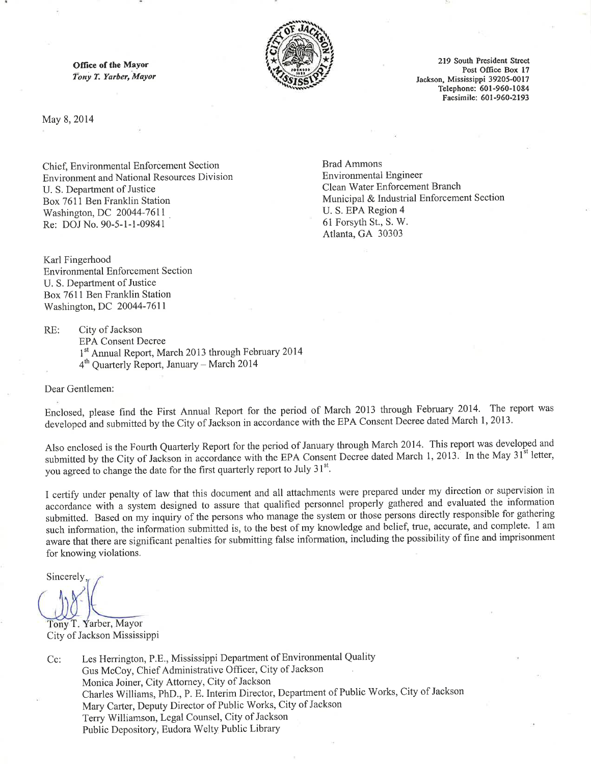Office of the Mayor Tony T. Yarber, Mayor



219 South President Street Post Office Box 17 Jackson, Mississippi 39205-0017 Telephone: 601-960-1084 Facsimile: 601-960-2193

May 8, 2014

Chief, Environmental Enforcement Section **Environment and National Resources Division** U. S. Department of Justice Box 7611 Ben Franklin Station Washington, DC 20044-7611 Re: DOJ No. 90-5-1-1-09841

**Brad Ammons Environmental Engineer** Clean Water Enforcement Branch Municipal & Industrial Enforcement Section U. S. EPA Region 4 61 Forsyth St., S. W. Atlanta, GA 30303

Karl Fingerhood **Environmental Enforcement Section** U. S. Department of Justice Box 7611 Ben Franklin Station Washington, DC 20044-7611

RE: City of Jackson

**EPA Consent Decree** 

- 1st Annual Report, March 2013 through February 2014
- 4<sup>th</sup> Ouarterly Report, January March 2014

Dear Gentlemen:

Enclosed, please find the First Annual Report for the period of March 2013 through February 2014. The report was developed and submitted by the City of Jackson in accordance with the EPA Consent Decree dated March 1, 2013.

Also enclosed is the Fourth Quarterly Report for the period of January through March 2014. This report was developed and submitted by the City of Jackson in accordance with the EPA Consent Decree dated March 1, 2013. In the May 31<sup>st</sup> letter, you agreed to change the date for the first quarterly report to July 31<sup>st</sup>.

I certify under penalty of law that this document and all attachments were prepared under my direction or supervision in accordance with a system designed to assure that qualified personnel properly gathered and evaluated the information submitted. Based on my inquiry of the persons who manage the system or those persons directly responsible for gathering such information, the information submitted is, to the best of my knowledge and belief, true, accurate, and complete. I am aware that there are significant penalties for submitting false information, including the possibility of fine and imprisonment for knowing violations.

Sincerely

Tony T. Yarber, Mayor City of Jackson Mississippi

Les Herrington, P.E., Mississippi Department of Environmental Quality  $Cc$ : Gus McCoy, Chief Administrative Officer, City of Jackson Monica Joiner, City Attorney, City of Jackson Charles Williams, PhD., P. E. Interim Director, Department of Public Works, City of Jackson Mary Carter, Deputy Director of Public Works, City of Jackson Terry Williamson, Legal Counsel, City of Jackson Public Depository, Eudora Welty Public Library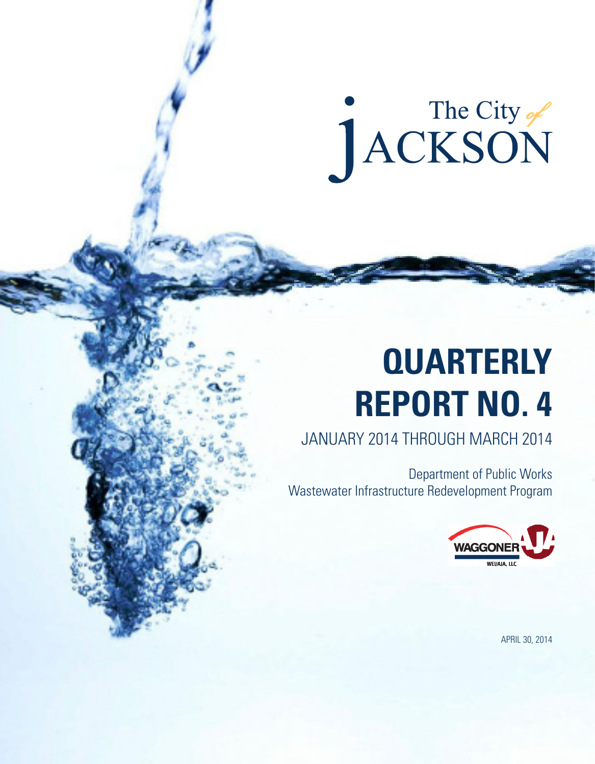# The City of

## **QUARTERLY REPORT NO. 4**

JANUARY 2014 THROUGH MARCH 2014

Department of Public Works Wastewater Infrastructure Redevelopment Program



APRIL 30, 2014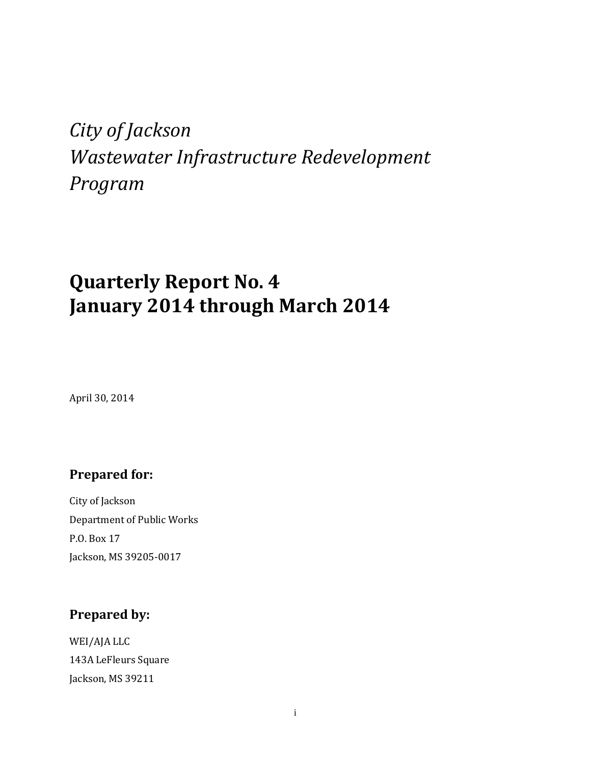## *City of Jackson Wastewater Infrastructure Redevelopment Program*

## **Quarterly Report No. 4 January 2014 through March 2014**

April 30, 2014

#### **Prepared for:**

City of Jackson Department of Public Works P.O. Box 17 Jackson, MS 39205-0017

#### **Prepared by:**

WEI/AJA LLC 143A LeFleurs Square Jackson, MS 39211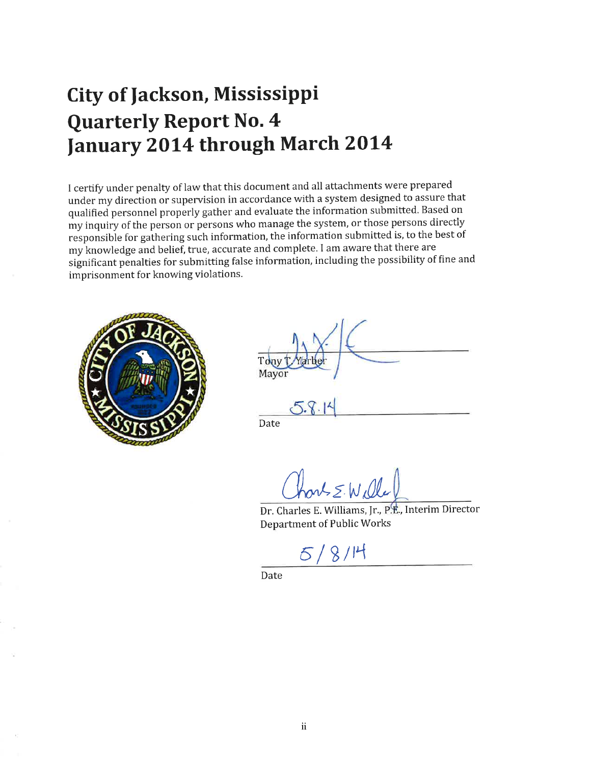## **City of Jackson, Mississippi Quarterly Report No. 4** January 2014 through March 2014

I certify under penalty of law that this document and all attachments were prepared under my direction or supervision in accordance with a system designed to assure that qualified personnel properly gather and evaluate the information submitted. Based on my inquiry of the person or persons who manage the system, or those persons directly responsible for gathering such information, the information submitted is, to the best of my knowledge and belief, true, accurate and complete. I am aware that there are significant penalties for submitting false information, including the possibility of fine and imprisonment for knowing violations.



| Tony T. Yartler<br>Mayor |  |
|--------------------------|--|

Date

 $5.8.14$ 

hort = Wille

Dr. Charles E. Williams, Jr., P.E., Interim Director Department of Public Works

 $5/8/14$ 

Date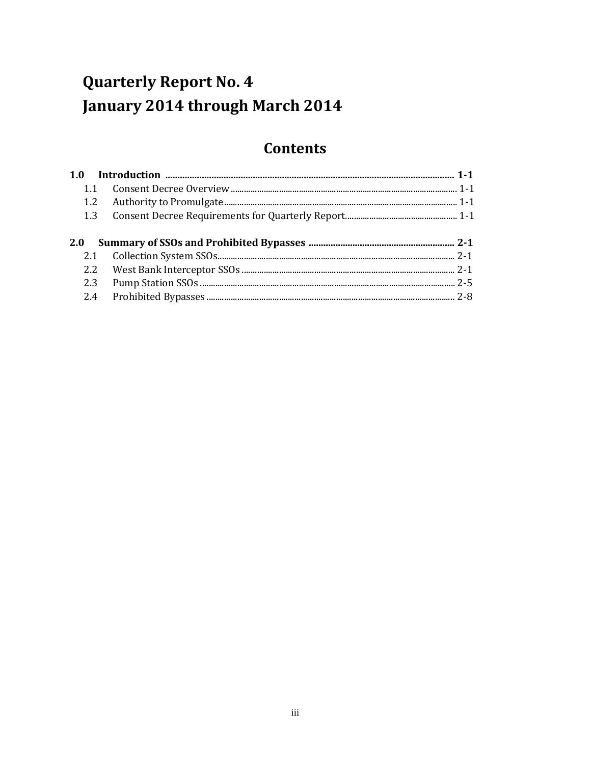## **Quarterly Report No. 4** January 2014 through March 2014

#### **Contents**

| 1.1        |  |
|------------|--|
|            |  |
|            |  |
|            |  |
| <b>2.0</b> |  |
|            |  |
|            |  |
|            |  |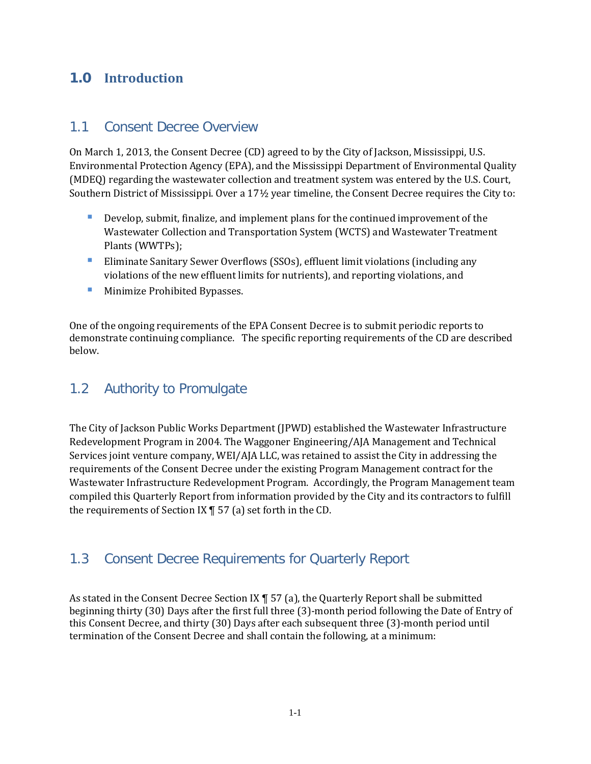#### **1.0 Introduction**

#### 1.1 Consent Decree Overview

On March 1, 2013, the Consent Decree (CD) agreed to by the City of Jackson, Mississippi, U.S. Environmental Protection Agency (EPA), and the Mississippi Department of Environmental Quality (MDEQ) regarding the wastewater collection and treatment system was entered by the U.S. Court, Southern District of Mississippi. Over a 17½ year timeline, the Consent Decree requires the City to:

- **Develop, submit, finalize, and implement plans for the continued improvement of the** Wastewater Collection and Transportation System (WCTS) and Wastewater Treatment Plants (WWTPs);
- Eliminate Sanitary Sewer Overflows (SSOs), effluent limit violations (including any violations of the new effluent limits for nutrients), and reporting violations, and
- **Minimize Prohibited Bypasses.**

One of the ongoing requirements of the EPA Consent Decree is to submit periodic reports to demonstrate continuing compliance. The specific reporting requirements of the CD are described below.

#### 1.2 Authority to Promulgate

The City of Jackson Public Works Department (JPWD) established the Wastewater Infrastructure Redevelopment Program in 2004. The Waggoner Engineering/AJA Management and Technical Services joint venture company, WEI/AJA LLC, was retained to assist the City in addressing the requirements of the Consent Decree under the existing Program Management contract for the Wastewater Infrastructure Redevelopment Program. Accordingly, the Program Management team compiled this Quarterly Report from information provided by the City and its contractors to fulfill the requirements of Section IX ¶ 57 (a) set forth in the CD.

#### 1.3 Consent Decree Requirements for Quarterly Report

As stated in the Consent Decree Section IX ¶ 57 (a), the Quarterly Report shall be submitted beginning thirty (30) Days after the first full three (3)-month period following the Date of Entry of this Consent Decree, and thirty (30) Days after each subsequent three (3)-month period until termination of the Consent Decree and shall contain the following, at a minimum: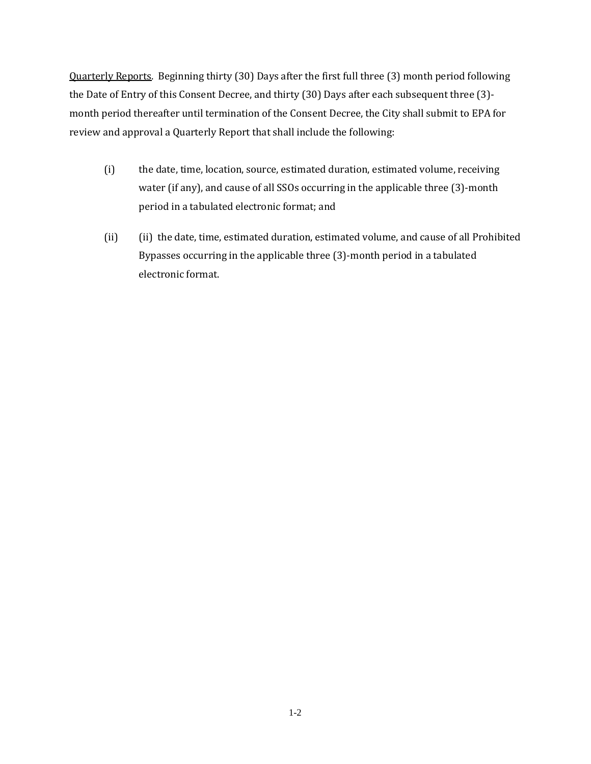Quarterly Reports. Beginning thirty (30) Days after the first full three (3) month period following the Date of Entry of this Consent Decree, and thirty (30) Days after each subsequent three (3) month period thereafter until termination of the Consent Decree, the City shall submit to EPA for review and approval a Quarterly Report that shall include the following:

- (i) the date, time, location, source, estimated duration, estimated volume, receiving water (if any), and cause of all SSOs occurring in the applicable three (3)-month period in a tabulated electronic format; and
- (ii) (ii) the date, time, estimated duration, estimated volume, and cause of all Prohibited Bypasses occurring in the applicable three (3)-month period in a tabulated electronic format.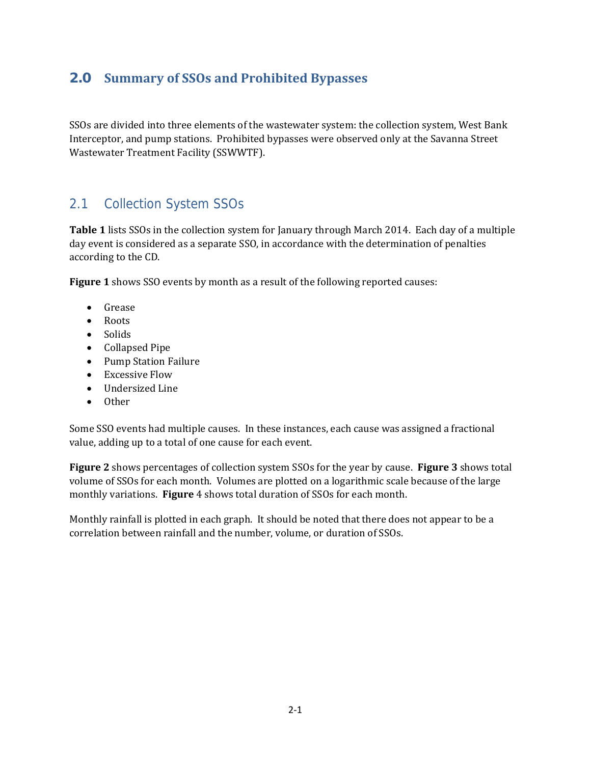#### **2.0 Summary of SSOs and Prohibited Bypasses**

SSOs are divided into three elements of the wastewater system: the collection system, West Bank Interceptor, and pump stations. Prohibited bypasses were observed only at the Savanna Street Wastewater Treatment Facility (SSWWTF).

#### 2.1 Collection System SSOs

**Table 1** lists SSOs in the collection system for January through March 2014. Each day of a multiple day event is considered as a separate SSO, in accordance with the determination of penalties according to the CD.

**Figure** 1 shows SSO events by month as a result of the following reported causes:

- Grease
- Roots
- Solids
- Collapsed Pipe
- Pump Station Failure
- Excessive Flow
- Undersized Line
- Other

Some SSO events had multiple causes. In these instances, each cause was assigned a fractional value, adding up to a total of one cause for each event.

**Figure** 2 shows percentages of collection system SSOs for the year by cause. **Figure** 3 shows total volume of SSOs for each month. Volumes are plotted on a logarithmic scale because of the large monthly variations. Figure 4 shows total duration of SSOs for each month.

Monthly rainfall is plotted in each graph. It should be noted that there does not appear to be a correlation between rainfall and the number, volume, or duration of SSOs.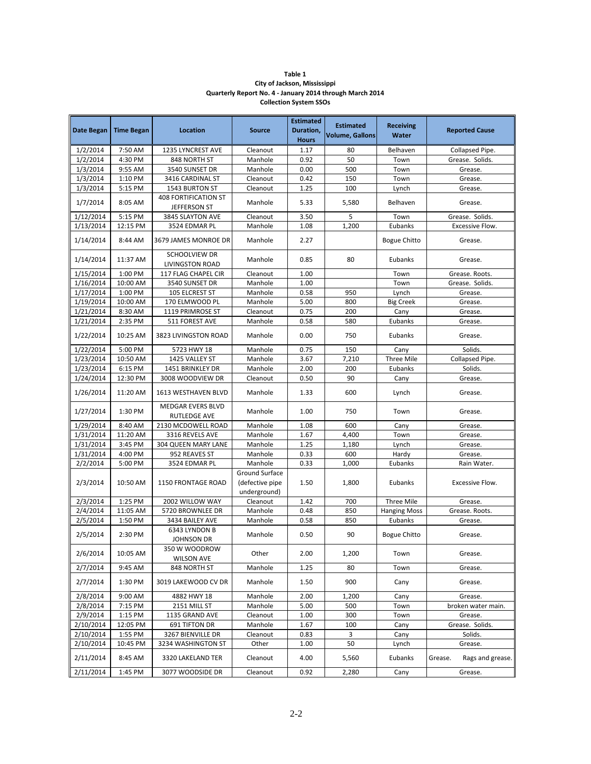#### **Table 1 City of Jackson, Mississippi Quarterly Report No. 4 ‐ January 2014 through March 2014 Collection System SSOs**

| Date Began | <b>Time Began</b> | <b>Location</b>                         | <b>Source</b>                                     | <b>Estimated</b><br>Duration,<br><b>Hours</b> | <b>Estimated</b><br><b>Volume, Gallons</b> | <b>Receiving</b><br>Water | <b>Reported Cause</b>       |
|------------|-------------------|-----------------------------------------|---------------------------------------------------|-----------------------------------------------|--------------------------------------------|---------------------------|-----------------------------|
| 1/2/2014   | 7:50 AM           | 1235 LYNCREST AVE                       | Cleanout                                          | 1.17                                          | 80                                         | Belhaven                  | Collapsed Pipe.             |
| 1/2/2014   | 4:30 PM           | 848 NORTH ST                            | Manhole                                           | 0.92                                          | 50                                         | Town                      | Grease. Solids.             |
| 1/3/2014   | 9:55 AM           | 3540 SUNSET DR                          | Manhole                                           | 0.00                                          | 500                                        | Town                      | Grease.                     |
| 1/3/2014   | 1:10 PM           | 3416 CARDINAL ST                        | Cleanout                                          | 0.42                                          | 150                                        | Town                      | Grease.                     |
| 1/3/2014   | 5:15 PM           | 1543 BURTON ST                          | Cleanout                                          | 1.25                                          | 100                                        | Lynch                     | Grease.                     |
|            |                   | 408 FORTIFICATION ST                    |                                                   |                                               |                                            |                           |                             |
| 1/7/2014   | 8:05 AM           | JEFFERSON ST                            | Manhole                                           | 5.33                                          | 5,580                                      | Belhaven                  | Grease.                     |
| 1/12/2014  | 5:15 PM           | 3845 SLAYTON AVE                        | Cleanout                                          | 3.50                                          | 5                                          | Town                      | Grease. Solids.             |
| 1/13/2014  | 12:15 PM          | 3524 EDMAR PL                           | Manhole                                           | 1.08                                          | 1,200                                      | Eubanks                   | Excessive Flow.             |
| 1/14/2014  | 8:44 AM           | 3679 JAMES MONROE DR                    | Manhole                                           | 2.27                                          |                                            | <b>Bogue Chitto</b>       | Grease.                     |
| 1/14/2014  | 11:37 AM          | SCHOOLVIEW DR<br><b>LIVINGSTON ROAD</b> | Manhole                                           | 0.85                                          | 80                                         | Eubanks                   | Grease.                     |
| 1/15/2014  | 1:00 PM           | 117 FLAG CHAPEL CIR                     | Cleanout                                          | 1.00                                          |                                            | Town                      | Grease. Roots.              |
| 1/16/2014  | 10:00 AM          | 3540 SUNSET DR                          | Manhole                                           | 1.00                                          |                                            | Town                      | Grease. Solids.             |
| 1/17/2014  | 1:00 PM           | 105 ELCREST ST                          | Manhole                                           | 0.58                                          | 950                                        | Lynch                     | Grease.                     |
| 1/19/2014  | 10:00 AM          | 170 ELMWOOD PL                          | Manhole                                           | 5.00                                          | 800                                        | <b>Big Creek</b>          | Grease.                     |
| 1/21/2014  | 8:30 AM           | 1119 PRIMROSE ST                        | Cleanout                                          | 0.75                                          | 200                                        | Cany                      | Grease.                     |
| 1/21/2014  | 2:35 PM           | 511 FOREST AVE                          | Manhole                                           | 0.58                                          | 580                                        | Eubanks                   | Grease.                     |
| 1/22/2014  | 10:25 AM          | 3823 LIVINGSTON ROAD                    | Manhole                                           | 0.00                                          | 750                                        | Eubanks                   | Grease.                     |
| 1/22/2014  | 5:00 PM           | 5723 HWY 18                             | Manhole                                           | 0.75                                          | 150                                        | Cany                      | Solids.                     |
| 1/23/2014  | 10:50 AM          | 1425 VALLEY ST                          | Manhole                                           | 3.67                                          | 7,210                                      | <b>Three Mile</b>         | Collapsed Pipe.             |
| 1/23/2014  | 6:15 PM           | 1451 BRINKLEY DR                        | Manhole                                           | 2.00                                          | 200                                        | Eubanks                   | Solids.                     |
| 1/24/2014  | 12:30 PM          | 3008 WOODVIEW DR                        | Cleanout                                          | 0.50                                          | 90                                         | Cany                      | Grease.                     |
| 1/26/2014  | 11:20 AM          | 1613 WESTHAVEN BLVD                     | Manhole                                           | 1.33                                          | 600                                        | Lynch                     | Grease.                     |
| 1/27/2014  | 1:30 PM           | MEDGAR EVERS BLVD<br>RUTLEDGE AVE       | Manhole                                           | 1.00                                          | 750                                        | Town                      | Grease.                     |
| 1/29/2014  | 8:40 AM           | 2130 MCDOWELL ROAD                      | Manhole                                           | 1.08                                          | 600                                        | Cany                      | Grease.                     |
| 1/31/2014  | 11:20 AM          | 3316 REVELS AVE                         | Manhole                                           | 1.67                                          | 4,400                                      | Town                      | Grease.                     |
| 1/31/2014  | 3:45 PM           | <b>304 QUEEN MARY LANE</b>              | Manhole                                           | 1.25                                          | 1,180                                      | Lynch                     | Grease.                     |
| 1/31/2014  | 4:00 PM           | 952 REAVES ST                           | Manhole                                           | 0.33                                          | 600                                        | Hardy                     | Grease.                     |
| 2/2/2014   | 5:00 PM           | 3524 EDMAR PL                           | Manhole                                           | 0.33                                          | 1,000                                      | Eubanks                   | Rain Water.                 |
| 2/3/2014   | 10:50 AM          | <b>1150 FRONTAGE ROAD</b>               | Ground Surface<br>(defective pipe<br>underground) | 1.50                                          | 1,800                                      | Eubanks                   | Excessive Flow.             |
| 2/3/2014   | 1:25 PM           | 2002 WILLOW WAY                         | Cleanout                                          | 1.42                                          | 700                                        | <b>Three Mile</b>         | Grease.                     |
| 2/4/2014   | 11:05 AM          | 5720 BROWNLEE DR                        | Manhole                                           | 0.48                                          | 850                                        | <b>Hanging Moss</b>       | Grease. Roots.              |
| 2/5/2014   | 1:50 PM           | 3434 BAILEY AVE                         | Manhole                                           | 0.58                                          | 850                                        | Eubanks                   | Grease.                     |
| 2/5/2014   | 2:30 PM           | 6343 LYNDON B<br>JOHNSON DR             | Manhole                                           | 0.50                                          | 90                                         | <b>Bogue Chitto</b>       | Grease.                     |
| 2/6/2014   | 10:05 AM          | 350 W WOODROW<br><b>WILSON AVE</b>      | Other                                             | 2.00                                          | 1,200                                      | Town                      | Grease.                     |
| 2/7/2014   | 9:45 AM           | 848 NORTH ST                            | Manhole                                           | 1.25                                          | 80                                         | Town                      | Grease.                     |
| 2/7/2014   | 1:30 PM           | 3019 LAKEWOOD CV DR                     | Manhole                                           | 1.50                                          | 900                                        | Cany                      | Grease.                     |
| 2/8/2014   | 9:00 AM           | 4882 HWY 18                             | Manhole                                           | 2.00                                          | 1,200                                      | Cany                      | Grease.                     |
| 2/8/2014   | 7:15 PM           | 2151 MILL ST                            | Manhole                                           | 5.00                                          | 500                                        | Town                      | broken water main.          |
| 2/9/2014   | 1:15 PM           | 1135 GRAND AVE                          | Cleanout                                          | 1.00                                          | 300                                        | Town                      | Grease.                     |
| 2/10/2014  | 12:05 PM          | 691 TIFTON DR                           | Manhole                                           | 1.67                                          | 100                                        | Cany                      | Grease. Solids.             |
| 2/10/2014  | 1:55 PM           | 3267 BIENVILLE DR                       | Cleanout                                          | 0.83                                          | 3                                          | Cany                      | Solids.                     |
| 2/10/2014  | 10:45 PM          | 3234 WASHINGTON ST                      | Other                                             | 1.00                                          | 50                                         | Lynch                     | Grease.                     |
| 2/11/2014  | 8:45 AM           | 3320 LAKELAND TER                       | Cleanout                                          | 4.00                                          | 5,560                                      | Eubanks                   | Grease.<br>Rags and grease. |
| 2/11/2014  | 1:45 PM           | 3077 WOODSIDE DR                        | Cleanout                                          | 0.92                                          | 2,280                                      | Cany                      | Grease.                     |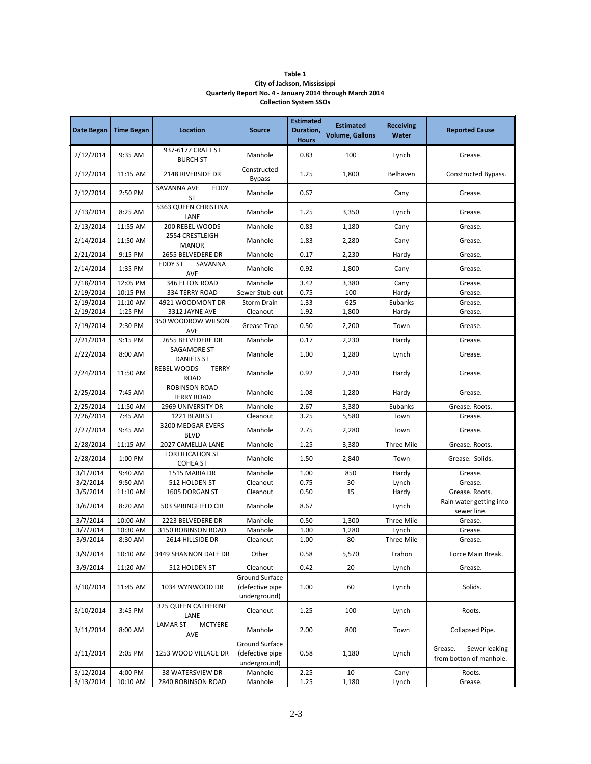| Table 1                                                  |
|----------------------------------------------------------|
| City of Jackson, Mississippi                             |
| Quarterly Report No. 4 - January 2014 through March 2014 |
| <b>Collection System SSOs</b>                            |

| <b>Date Began</b> | <b>Time Began</b> | Location                                          | <b>Source</b>                                     | <b>Estimated</b><br>Duration,<br><b>Hours</b> | <b>Estimated</b><br><b>Volume, Gallons</b> | <b>Receiving</b><br><b>Water</b> | <b>Reported Cause</b>                               |
|-------------------|-------------------|---------------------------------------------------|---------------------------------------------------|-----------------------------------------------|--------------------------------------------|----------------------------------|-----------------------------------------------------|
| 2/12/2014         | 9:35 AM           | 937-6177 CRAFT ST<br><b>BURCH ST</b>              | Manhole                                           | 0.83                                          | 100                                        | Lynch                            | Grease.                                             |
| 2/12/2014         | 11:15 AM          | 2148 RIVERSIDE DR                                 | Constructed<br><b>Bypass</b>                      | 1.25                                          | 1,800                                      | Belhaven                         | Constructed Bypass.                                 |
| 2/12/2014         | 2:50 PM           | SAVANNA AVE<br><b>EDDY</b><br>ST                  | Manhole                                           | 0.67                                          |                                            | Cany                             | Grease.                                             |
| 2/13/2014         | 8:25 AM           | 5363 QUEEN CHRISTINA<br>LANE                      | Manhole                                           | 1.25                                          | 3,350                                      | Lynch                            | Grease.                                             |
| 2/13/2014         | 11:55 AM          | 200 REBEL WOODS                                   | Manhole                                           | 0.83                                          | 1,180                                      | Cany                             | Grease.                                             |
| 2/14/2014         | 11:50 AM          | 2554 CRESTLEIGH<br><b>MANOR</b>                   | Manhole                                           | 1.83                                          | 2,280                                      | Cany                             | Grease.                                             |
| 2/21/2014         | 9:15 PM           | 2655 BELVEDERE DR                                 | Manhole                                           | 0.17                                          | 2,230                                      | Hardy                            | Grease.                                             |
| 2/14/2014         | 1:35 PM           | <b>EDDY ST</b><br>SAVANNA<br>AVE                  | Manhole                                           | 0.92                                          | 1,800                                      | Cany                             | Grease.                                             |
| 2/18/2014         | 12:05 PM          | 346 ELTON ROAD                                    | Manhole                                           | 3.42                                          | 3,380                                      | Cany                             | Grease.                                             |
| 2/19/2014         | 10:15 PM          | 334 TERRY ROAD                                    | Sewer Stub-out                                    | 0.75                                          | 100                                        | Hardy                            | Grease.                                             |
| 2/19/2014         | 11:10 AM          | 4921 WOODMONT DR                                  | <b>Storm Drain</b>                                | 1.33                                          | 625                                        | Eubanks                          | Grease.                                             |
| 2/19/2014         | 1:25 PM           | 3312 JAYNE AVE                                    | Cleanout                                          | 1.92                                          | 1,800                                      | Hardy                            | Grease.                                             |
| 2/19/2014         | 2:30 PM           | 350 WOODROW WILSON<br>AVE                         | Grease Trap                                       | 0.50                                          | 2,200                                      | Town                             | Grease.                                             |
| 2/21/2014         | 9:15 PM           | 2655 BELVEDERE DR                                 | Manhole                                           | 0.17                                          | 2,230                                      | Hardy                            | Grease.                                             |
| 2/22/2014         | 8:00 AM           | SAGAMORE ST<br><b>DANIELS ST</b>                  | Manhole                                           | 1.00                                          | 1,280                                      | Lynch                            | Grease.                                             |
| 2/24/2014         | 11:50 AM          | <b>REBEL WOODS</b><br><b>TERRY</b><br><b>ROAD</b> | Manhole                                           | 0.92                                          | 2,240                                      | Hardy                            | Grease.                                             |
| 2/25/2014         | 7:45 AM           | <b>ROBINSON ROAD</b><br><b>TERRY ROAD</b>         | Manhole                                           | 1.08                                          | 1,280                                      | Hardy                            | Grease.                                             |
| 2/25/2014         | 11:50 AM          | 2969 UNIVERSITY DR                                | Manhole                                           | 2.67                                          | 3,380                                      | Eubanks                          | Grease. Roots.                                      |
| 2/26/2014         | 7:45 AM           | 1221 BLAIR ST                                     | Cleanout                                          | 3.25                                          | 5,580                                      | Town                             | Grease.                                             |
| 2/27/2014         | 9:45 AM           | 3200 MEDGAR EVERS<br><b>BLVD</b>                  | Manhole                                           | 2.75                                          | 2,280                                      | Town                             | Grease.                                             |
| 2/28/2014         | 11:15 AM          | 2027 CAMELLIA LANE                                | Manhole                                           | 1.25                                          | 3,380                                      | Three Mile                       | Grease. Roots.                                      |
| 2/28/2014         | 1:00 PM           | <b>FORTIFICATION ST</b><br><b>COHEA ST</b>        | Manhole                                           | 1.50                                          | 2,840                                      | Town                             | Grease. Solids.                                     |
| 3/1/2014          | 9:40 AM           | 1515 MARIA DR                                     | Manhole                                           | 1.00                                          | 850                                        | Hardy                            | Grease.                                             |
| 3/2/2014          | 9:50 AM           | 512 HOLDEN ST                                     | Cleanout                                          | 0.75                                          | 30                                         | Lynch                            | Grease.                                             |
| 3/5/2014          | 11:10 AM          | 1605 DORGAN ST                                    | Cleanout                                          | 0.50                                          | 15                                         | Hardy                            | Grease. Roots.                                      |
| 3/6/2014          | 8:20 AM           | 503 SPRINGFIELD CIR                               | Manhole                                           | 8.67                                          |                                            | Lynch                            | Rain water getting into<br>sewer line.              |
| 3/7/2014          | 10:00 AM          | 2223 BELVEDERE DR                                 | Manhole                                           | 0.50                                          | 1,300                                      | Three Mile                       | Grease.                                             |
| 3/7/2014          | 10:30 AM          | 3150 ROBINSON ROAD                                | Manhole                                           | 1.00                                          | 1,280                                      | Lynch                            | Grease.                                             |
| 3/9/2014          | 8:30 AM           | 2614 HILLSIDE DR                                  | Cleanout                                          | 1.00                                          | 80                                         | <b>Three Mile</b>                | Grease.                                             |
| 3/9/2014          | 10:10 AM          | 3449 SHANNON DALE DR                              | Other                                             | 0.58                                          | 5,570                                      | Trahon                           | Force Main Break.                                   |
| 3/9/2014          | 11:20 AM          | 512 HOLDEN ST                                     | Cleanout                                          | 0.42                                          | 20                                         | Lynch                            | Grease.                                             |
| 3/10/2014         | 11:45 AM          | 1034 WYNWOOD DR                                   | Ground Surface<br>(defective pipe<br>underground) | 1.00                                          | 60                                         | Lynch                            | Solids.                                             |
| 3/10/2014         | 3:45 PM           | 325 QUEEN CATHERINE<br>LANE                       | Cleanout                                          | 1.25                                          | 100                                        | Lynch                            | Roots.                                              |
| 3/11/2014         | 8:00 AM           | <b>LAMAR ST</b><br>MCTYERE<br>AVE                 | Manhole                                           | 2.00                                          | 800                                        | Town                             | Collapsed Pipe.                                     |
| 3/11/2014         | 2:05 PM           | 1253 WOOD VILLAGE DR                              | Ground Surface<br>(defective pipe<br>underground) | 0.58                                          | 1,180                                      | Lynch                            | Grease.<br>Sewer leaking<br>from botton of manhole. |
| 3/12/2014         | 4:00 PM           | 38 WATERSVIEW DR                                  | Manhole                                           | 2.25                                          | $10\,$                                     | Cany                             | Roots.                                              |
| 3/13/2014         | 10:10 AM          | 2840 ROBINSON ROAD                                | Manhole                                           | 1.25                                          | 1,180                                      | Lynch                            | Grease.                                             |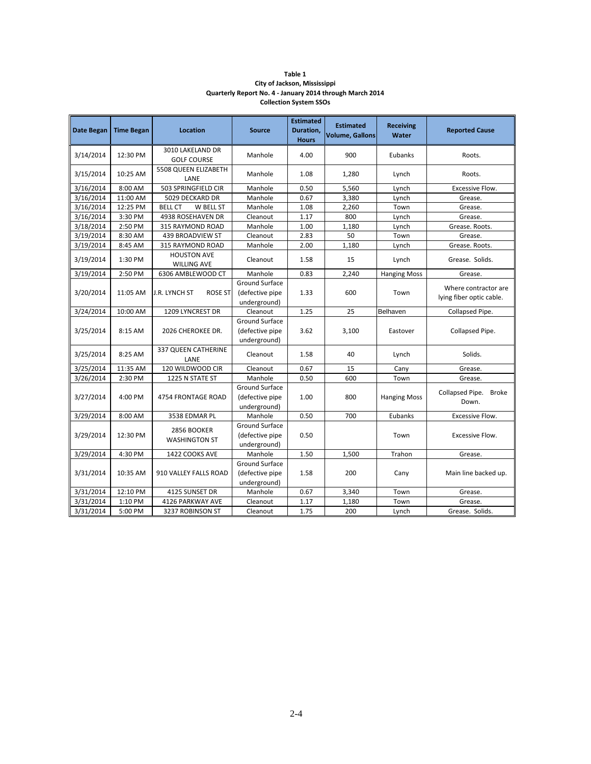| Table 1                                                  |
|----------------------------------------------------------|
| City of Jackson, Mississippi                             |
| Quarterly Report No. 4 - January 2014 through March 2014 |
| <b>Collection System SSOs</b>                            |

| <b>Date Began</b> | <b>Time Began</b> | <b>Location</b>                          | <b>Source</b>                                     | <b>Estimated</b><br>Duration,<br><b>Hours</b> | <b>Estimated</b><br><b>Volume, Gallons</b> | <b>Receiving</b><br>Water | <b>Reported Cause</b>                            |
|-------------------|-------------------|------------------------------------------|---------------------------------------------------|-----------------------------------------------|--------------------------------------------|---------------------------|--------------------------------------------------|
| 3/14/2014         | 12:30 PM          | 3010 LAKELAND DR<br><b>GOLF COURSE</b>   | Manhole                                           | 4.00                                          | 900                                        | Eubanks                   | Roots.                                           |
| 3/15/2014         | 10:25 AM          | 5508 QUEEN ELIZABETH<br>LANE             | Manhole                                           | 1.08                                          | 1,280                                      | Lynch                     | Roots.                                           |
| 3/16/2014         | 8:00 AM           | 503 SPRINGFIELD CIR                      | Manhole                                           | 0.50                                          | 5,560                                      | Lynch                     | Excessive Flow.                                  |
| 3/16/2014         | 11:00 AM          | 5029 DECKARD DR                          | Manhole                                           | 0.67                                          | 3,380                                      | Lynch                     | Grease.                                          |
| 3/16/2014         | 12:25 PM          | <b>BELL CT</b><br>W BELL ST              | Manhole                                           | 1.08                                          | 2,260                                      | Town                      | Grease.                                          |
| 3/16/2014         | 3:30 PM           | 4938 ROSEHAVEN DR                        | Cleanout                                          | 1.17                                          | 800                                        | Lynch                     | Grease.                                          |
| 3/18/2014         | 2:50 PM           | 315 RAYMOND ROAD                         | Manhole                                           | 1.00                                          | 1,180                                      | Lynch                     | Grease. Roots.                                   |
| 3/19/2014         | 8:30 AM           | 439 BROADVIEW ST                         | Cleanout                                          | 2.83                                          | 50                                         | Town                      | Grease.                                          |
| 3/19/2014         | 8:45 AM           | 315 RAYMOND ROAD                         | Manhole                                           | 2.00                                          | 1,180                                      | Lynch                     | Grease. Roots.                                   |
| 3/19/2014         | 1:30 PM           | <b>HOUSTON AVE</b><br><b>WILLING AVE</b> | Cleanout                                          | 1.58                                          | 15                                         | Lynch                     | Grease. Solids.                                  |
| 3/19/2014         | 2:50 PM           | 6306 AMBLEWOOD CT                        | Manhole                                           | 0.83                                          | 2,240                                      | <b>Hanging Moss</b>       | Grease.                                          |
| 3/20/2014         | 11:05 AM          | J.R. LYNCH ST<br><b>ROSE ST</b>          | Ground Surface<br>(defective pipe<br>underground) | 1.33                                          | 600                                        | Town                      | Where contractor are<br>lying fiber optic cable. |
| 3/24/2014         | 10:00 AM          | 1209 LYNCREST DR                         | Cleanout                                          | 1.25                                          | 25                                         | Belhaven                  | Collapsed Pipe.                                  |
| 3/25/2014         | 8:15 AM           | 2026 CHEROKEE DR.                        | Ground Surface<br>(defective pipe<br>underground) | 3.62                                          | 3,100                                      | Eastover                  | Collapsed Pipe.                                  |
| 3/25/2014         | 8:25 AM           | <b>337 QUEEN CATHERINE</b><br>LANE       | Cleanout                                          | 1.58                                          | 40                                         | Lynch                     | Solids.                                          |
| 3/25/2014         | 11:35 AM          | 120 WILDWOOD CIR                         | Cleanout                                          | 0.67                                          | 15                                         | Cany                      | Grease.                                          |
| 3/26/2014         | 2:30 PM           | 1225 N STATE ST                          | Manhole                                           | 0.50                                          | 600                                        | Town                      | Grease.                                          |
| 3/27/2014         | 4:00 PM           | 4754 FRONTAGE ROAD                       | Ground Surface<br>(defective pipe<br>underground) | 1.00                                          | 800                                        | <b>Hanging Moss</b>       | Collapsed Pipe.<br><b>Broke</b><br>Down.         |
| 3/29/2014         | 8:00 AM           | 3538 EDMAR PL                            | Manhole                                           | 0.50                                          | 700                                        | Eubanks                   | Excessive Flow.                                  |
| 3/29/2014         | 12:30 PM          | 2856 BOOKER<br><b>WASHINGTON ST</b>      | Ground Surface<br>(defective pipe<br>underground) | 0.50                                          |                                            | Town                      | Excessive Flow.                                  |
| 3/29/2014         | 4:30 PM           | 1422 COOKS AVE                           | Manhole                                           | 1.50                                          | 1,500                                      | Trahon                    | Grease.                                          |
| 3/31/2014         | 10:35 AM          | 910 VALLEY FALLS ROAD                    | Ground Surface<br>(defective pipe<br>underground) | 1.58                                          | 200                                        | Cany                      | Main line backed up.                             |
| 3/31/2014         | 12:10 PM          | 4125 SUNSET DR                           | Manhole                                           | 0.67                                          | 3,340                                      | Town                      | Grease.                                          |
| 3/31/2014         | 1:10 PM           | 4126 PARKWAY AVE                         | Cleanout                                          | 1.17                                          | 1,180                                      | Town                      | Grease.                                          |
| 3/31/2014         | 5:00 PM           | 3237 ROBINSON ST                         | Cleanout                                          | 1.75                                          | 200                                        | Lynch                     | Grease. Solids.                                  |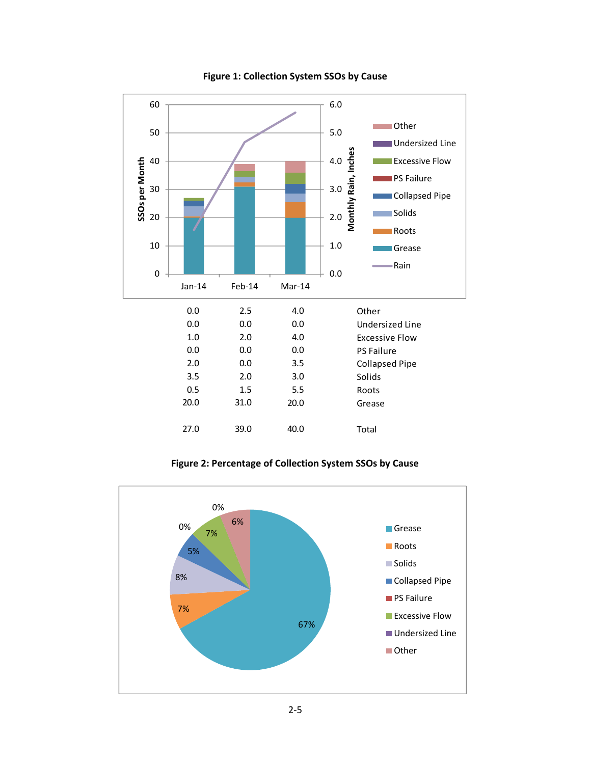

#### **Figure 1: Collection System SSOs by Cause**

**Figure 2: Percentage of Collection System SSOs by Cause**

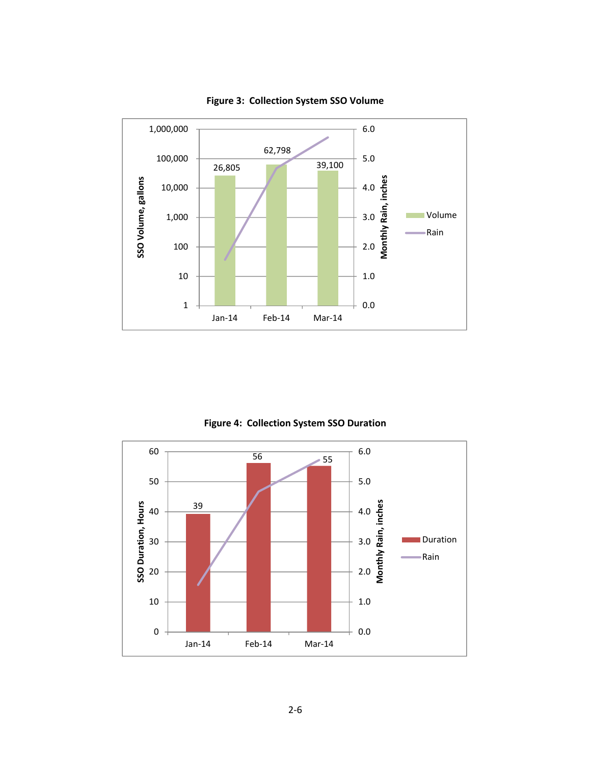

**Figure 3: Collection System SSO Volume**

**Figure 4: Collection System SSO Duration**

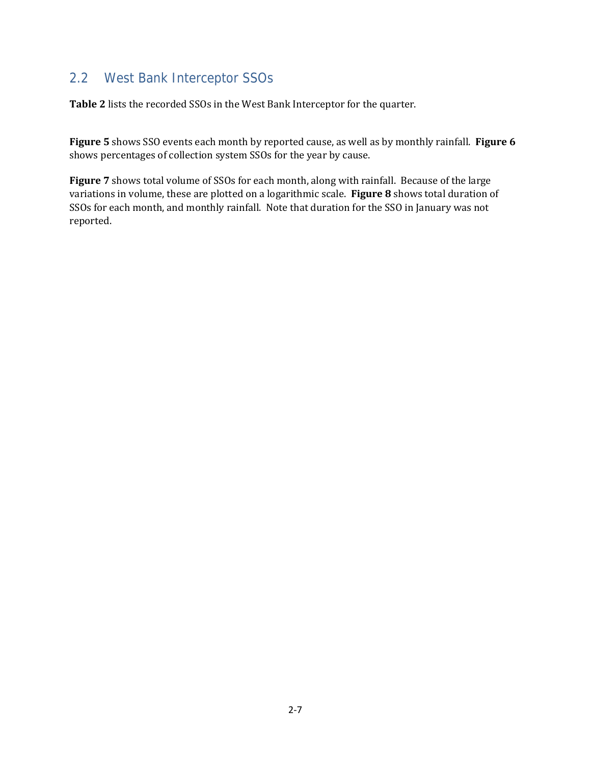#### 2.2 West Bank Interceptor SSOs

**Table 2** lists the recorded SSOs in the West Bank Interceptor for the quarter.

Figure 5 shows SSO events each month by reported cause, as well as by monthly rainfall. Figure 6 shows percentages of collection system SSOs for the year by cause.

**Figure** 7 shows total volume of SSOs for each month, along with rainfall. Because of the large variations in volume, these are plotted on a logarithmic scale. Figure 8 shows total duration of SSOs for each month, and monthly rainfall. Note that duration for the SSO in January was not reported.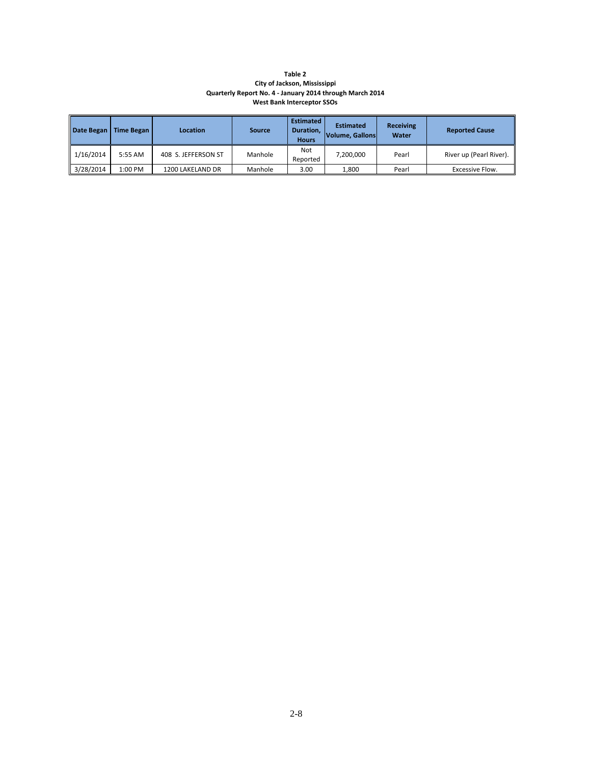#### **Table 2 City of Jackson, Mississippi Quarterly Report No. 4 ‐ January 2014 through March 2014 West Bank Interceptor SSOs**

| Date Began | <b>Time Began</b> | Location            | <b>Source</b> | <b>Estimated</b><br>Duration,<br><b>Hours</b> | <b>Estimated</b><br><b>Volume, Gallons</b> | <b>Receiving</b><br>Water | <b>Reported Cause</b>   |
|------------|-------------------|---------------------|---------------|-----------------------------------------------|--------------------------------------------|---------------------------|-------------------------|
| 1/16/2014  | 5:55 AM           | 408 S. JEFFERSON ST | Manhole       | Not<br>Reported                               | 7.200.000                                  | Pearl                     | River up (Pearl River). |
| 3/28/2014  | 1:00 PM           | 1200 LAKELAND DR    | Manhole       | 3.00                                          | 1.800                                      | Pearl                     | Excessive Flow.         |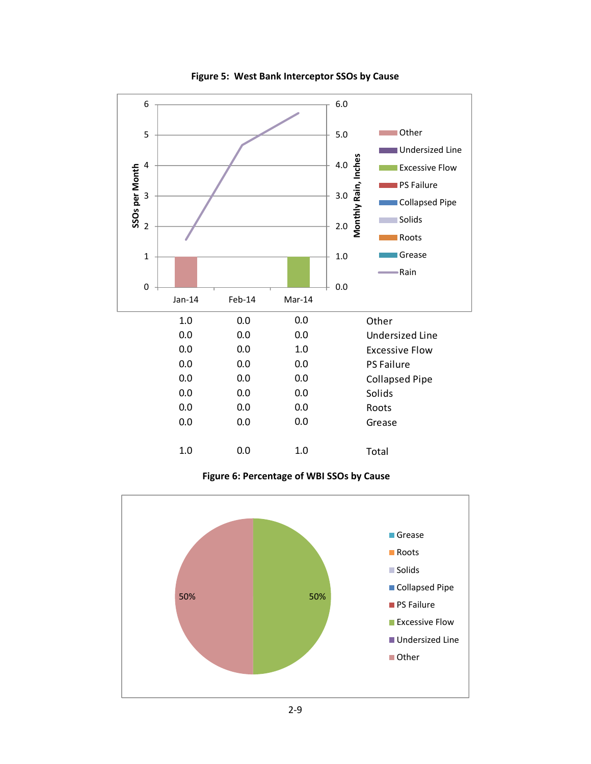

**Figure 5: West Bank Interceptor SSOs by Cause**

**Figure 6: Percentage of WBI SSOs by Cause**

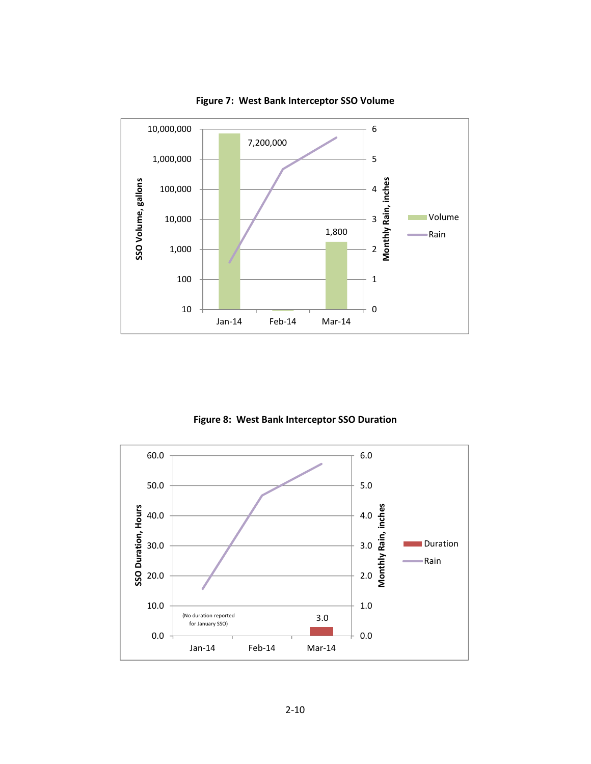

**Figure 7: West Bank Interceptor SSO Volume**

**Figure 8: West Bank Interceptor SSO Duration**

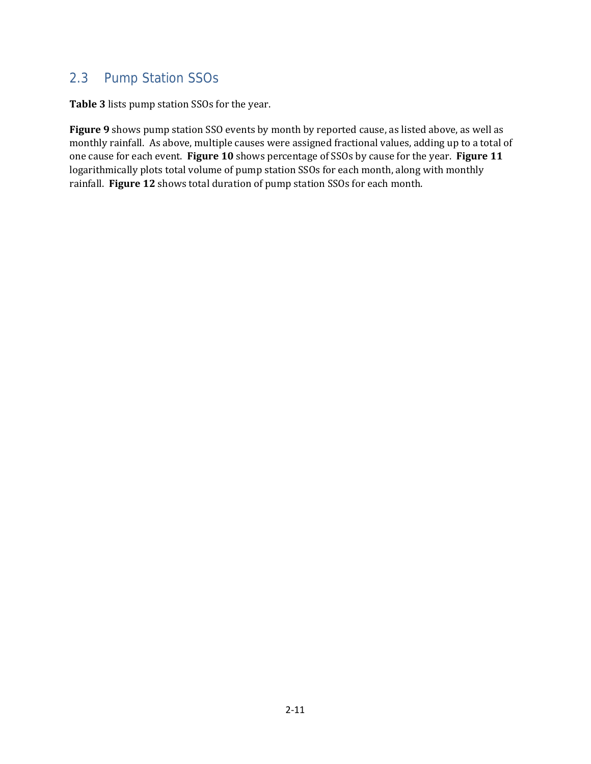#### 2.3 Pump Station SSOs

**Table 3** lists pump station SSOs for the year.

Figure 9 shows pump station SSO events by month by reported cause, as listed above, as well as monthly rainfall. As above, multiple causes were assigned fractional values, adding up to a total of one cause for each event. Figure 10 shows percentage of SSOs by cause for the year. Figure 11 logarithmically plots total volume of pump station SSOs for each month, along with monthly rainfall. Figure 12 shows total duration of pump station SSOs for each month.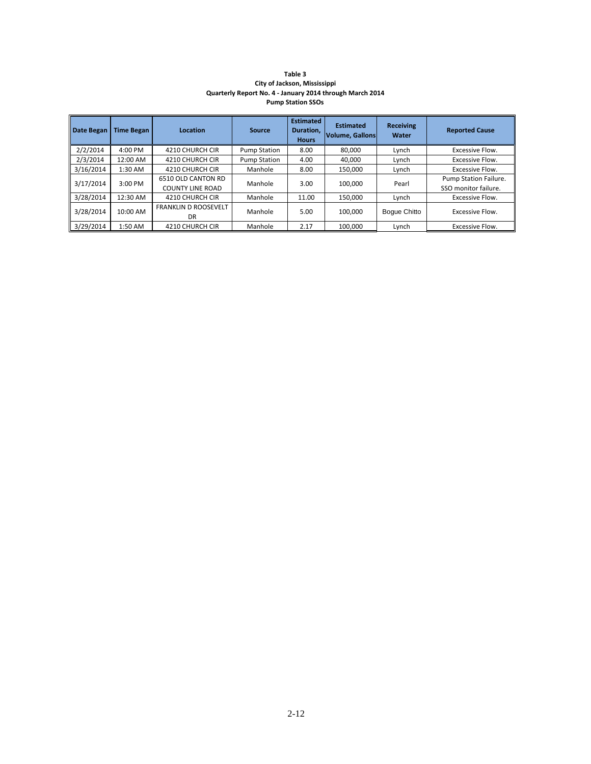| Table 3                                                  |
|----------------------------------------------------------|
| City of Jackson, Mississippi                             |
| Quarterly Report No. 4 - January 2014 through March 2014 |
| <b>Pump Station SSOs</b>                                 |

| Date Began | Time Began | Location                                      | Source              | <b>Estimated</b><br>Duration,<br><b>Hours</b> | <b>Estimated</b><br>Volume, Gallons | <b>Receiving</b><br>Water | <b>Reported Cause</b>                         |
|------------|------------|-----------------------------------------------|---------------------|-----------------------------------------------|-------------------------------------|---------------------------|-----------------------------------------------|
| 2/2/2014   | 4:00 PM    | 4210 CHURCH CIR                               | <b>Pump Station</b> | 8.00                                          | 80.000                              | Lynch                     | Excessive Flow.                               |
| 2/3/2014   | 12:00 AM   | 4210 CHURCH CIR                               | <b>Pump Station</b> | 4.00                                          | 40.000                              | Lynch                     | Excessive Flow.                               |
| 3/16/2014  | 1:30 AM    | 4210 CHURCH CIR                               | Manhole             | 8.00                                          | 150,000                             | Lynch                     | Excessive Flow.                               |
| 3/17/2014  | $3:00$ PM  | 6510 OLD CANTON RD<br><b>COUNTY LINE ROAD</b> | Manhole             | 3.00                                          | 100.000                             | Pearl                     | Pump Station Failure.<br>SSO monitor failure. |
| 3/28/2014  | 12:30 AM   | 4210 CHURCH CIR                               | Manhole             | 11.00                                         | 150,000                             | Lynch                     | Excessive Flow.                               |
| 3/28/2014  | $10:00$ AM | <b>FRANKLIN D ROOSEVELT</b><br>DR             | Manhole             | 5.00                                          | 100.000                             | <b>Boque Chitto</b>       | Excessive Flow.                               |
| 3/29/2014  | 1:50 AM    | 4210 CHURCH CIR                               | Manhole             | 2.17                                          | 100.000                             | Lynch                     | Excessive Flow.                               |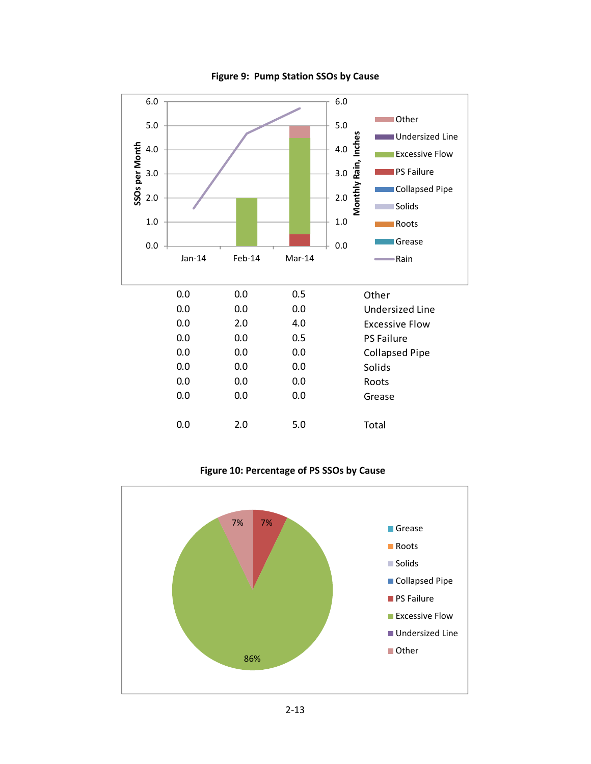

**Figure 9: Pump Station SSOs by Cause**

**Figure 10: Percentage of PS SSOs by Cause**

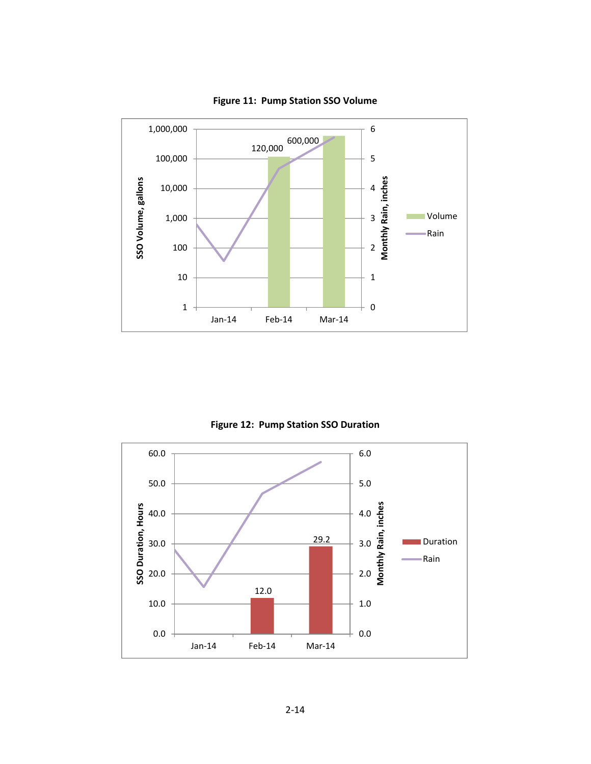

**Figure 11: Pump Station SSO Volume**

**Figure 12: Pump Station SSO Duration**

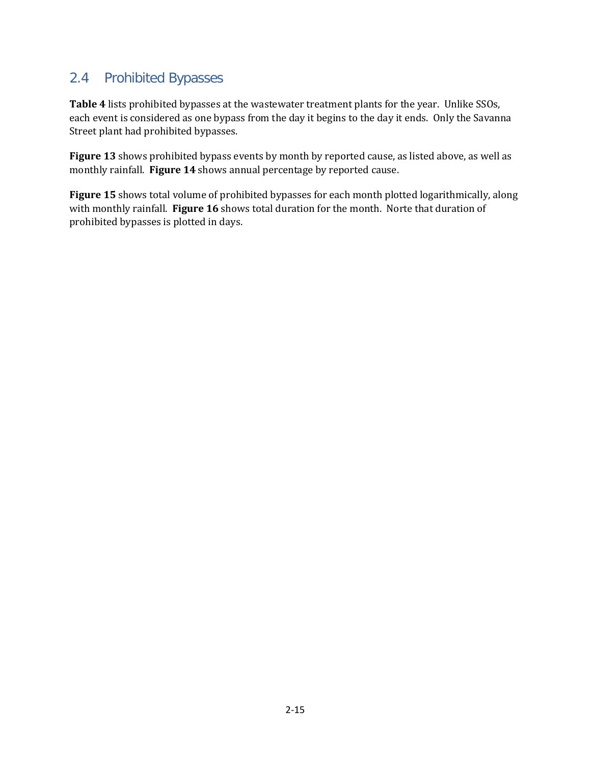#### 2.4 Prohibited Bypasses

**Table 4** lists prohibited bypasses at the wastewater treatment plants for the year. Unlike SSOs, each event is considered as one bypass from the day it begins to the day it ends. Only the Savanna Street plant had prohibited bypasses.

**Figure 13** shows prohibited bypass events by month by reported cause, as listed above, as well as monthly rainfall. **Figure 14** shows annual percentage by reported cause.

**Figure 15** shows total volume of prohibited bypasses for each month plotted logarithmically, along with monthly rainfall. **Figure 16** shows total duration for the month. Norte that duration of prohibited bypasses is plotted in days.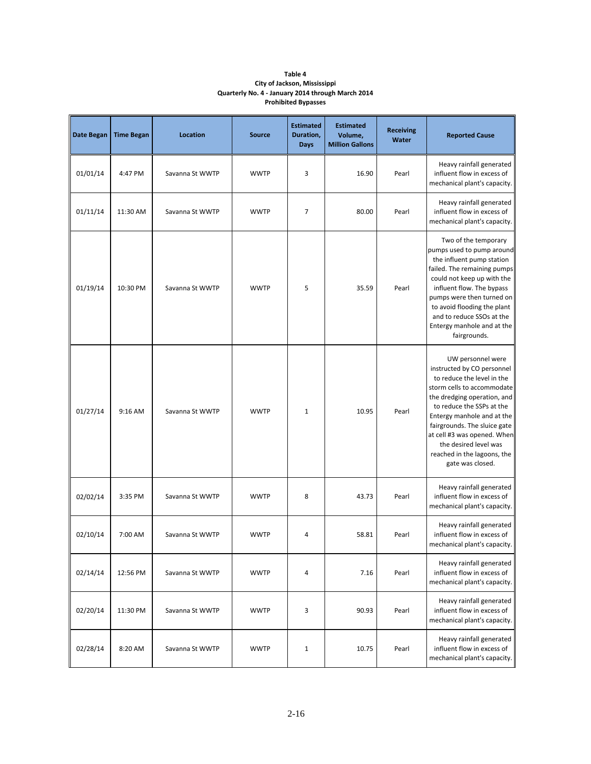#### **Table 4 City of Jackson, Mississippi Quarterly No. 4 ‐ January 2014 through March 2014 Prohibited Bypasses**

| Date Began | <b>Time Began</b> | Location        | <b>Source</b> | <b>Estimated</b><br>Duration,<br><b>Days</b> | <b>Estimated</b><br>Volume,<br><b>Million Gallons</b> | <b>Receiving</b><br>Water | <b>Reported Cause</b>                                                                                                                                                                                                                                                                                                                            |
|------------|-------------------|-----------------|---------------|----------------------------------------------|-------------------------------------------------------|---------------------------|--------------------------------------------------------------------------------------------------------------------------------------------------------------------------------------------------------------------------------------------------------------------------------------------------------------------------------------------------|
| 01/01/14   | 4:47 PM           | Savanna St WWTP | <b>WWTP</b>   | 3                                            | 16.90                                                 | Pearl                     | Heavy rainfall generated<br>influent flow in excess of<br>mechanical plant's capacity.                                                                                                                                                                                                                                                           |
| 01/11/14   | 11:30 AM          | Savanna St WWTP | <b>WWTP</b>   | $\overline{7}$                               | 80.00                                                 | Pearl                     | Heavy rainfall generated<br>influent flow in excess of<br>mechanical plant's capacity.                                                                                                                                                                                                                                                           |
| 01/19/14   | 10:30 PM          | Savanna St WWTP | <b>WWTP</b>   | 5                                            | 35.59                                                 | Pearl                     | Two of the temporary<br>pumps used to pump around<br>the influent pump station<br>failed. The remaining pumps<br>could not keep up with the<br>influent flow. The bypass<br>pumps were then turned on<br>to avoid flooding the plant<br>and to reduce SSOs at the<br>Entergy manhole and at the<br>fairgrounds.                                  |
| 01/27/14   | 9:16 AM           | Savanna St WWTP | <b>WWTP</b>   | $\mathbf{1}$                                 | 10.95                                                 | Pearl                     | UW personnel were<br>instructed by CO personnel<br>to reduce the level in the<br>storm cells to accommodate<br>the dredging operation, and<br>to reduce the SSPs at the<br>Entergy manhole and at the<br>fairgrounds. The sluice gate<br>at cell #3 was opened. When<br>the desired level was<br>reached in the lagoons, the<br>gate was closed. |
| 02/02/14   | 3:35 PM           | Savanna St WWTP | <b>WWTP</b>   | 8                                            | 43.73                                                 | Pearl                     | Heavy rainfall generated<br>influent flow in excess of<br>mechanical plant's capacity.                                                                                                                                                                                                                                                           |
| 02/10/14   | 7:00 AM           | Savanna St WWTP | <b>WWTP</b>   | $\overline{4}$                               | 58.81                                                 | Pearl                     | Heavy rainfall generated<br>influent flow in excess of<br>mechanical plant's capacity.                                                                                                                                                                                                                                                           |
| 02/14/14   | 12:56 PM          | Savanna St WWTP | <b>WWTP</b>   | $\overline{a}$                               | 7.16                                                  | Pearl                     | Heavy rainfall generated<br>influent flow in excess of<br>mechanical plant's capacity.                                                                                                                                                                                                                                                           |
| 02/20/14   | 11:30 PM          | Savanna St WWTP | <b>WWTP</b>   | 3                                            | 90.93                                                 | Pearl                     | Heavy rainfall generated<br>influent flow in excess of<br>mechanical plant's capacity.                                                                                                                                                                                                                                                           |
| 02/28/14   | 8:20 AM           | Savanna St WWTP | <b>WWTP</b>   | $\mathbf{1}$                                 | 10.75                                                 | Pearl                     | Heavy rainfall generated<br>influent flow in excess of<br>mechanical plant's capacity.                                                                                                                                                                                                                                                           |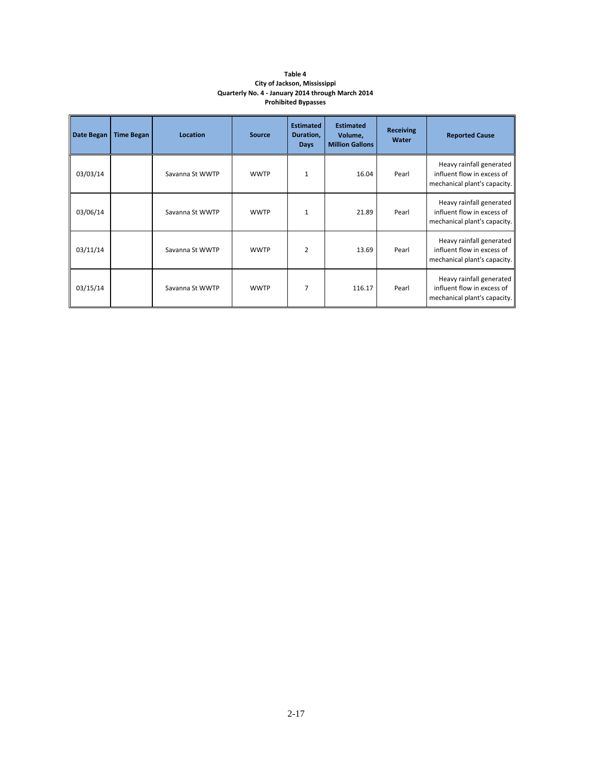#### **Table 4 City of Jackson, Mississippi Quarterly No. 4 ‐ January 2014 through March 2014 Prohibited Bypasses**

| Date Began | <b>Time Began</b> | <b>Location</b> | <b>Source</b> | <b>Estimated</b><br>Duration,<br><b>Days</b> | <b>Estimated</b><br>Volume,<br><b>Million Gallons</b> | <b>Receiving</b><br>Water | <b>Reported Cause</b>                                                                  |
|------------|-------------------|-----------------|---------------|----------------------------------------------|-------------------------------------------------------|---------------------------|----------------------------------------------------------------------------------------|
| 03/03/14   |                   | Savanna St WWTP | <b>WWTP</b>   | $\mathbf{1}$                                 | 16.04                                                 | Pearl                     | Heavy rainfall generated<br>influent flow in excess of<br>mechanical plant's capacity. |
| 03/06/14   |                   | Savanna St WWTP | <b>WWTP</b>   | $\mathbf{1}$                                 | 21.89                                                 | Pearl                     | Heavy rainfall generated<br>influent flow in excess of<br>mechanical plant's capacity. |
| 03/11/14   |                   | Savanna St WWTP | <b>WWTP</b>   | $\overline{2}$                               | 13.69                                                 | Pearl                     | Heavy rainfall generated<br>influent flow in excess of<br>mechanical plant's capacity. |
| 03/15/14   |                   | Savanna St WWTP | <b>WWTP</b>   |                                              | 116.17                                                | Pearl                     | Heavy rainfall generated<br>influent flow in excess of<br>mechanical plant's capacity. |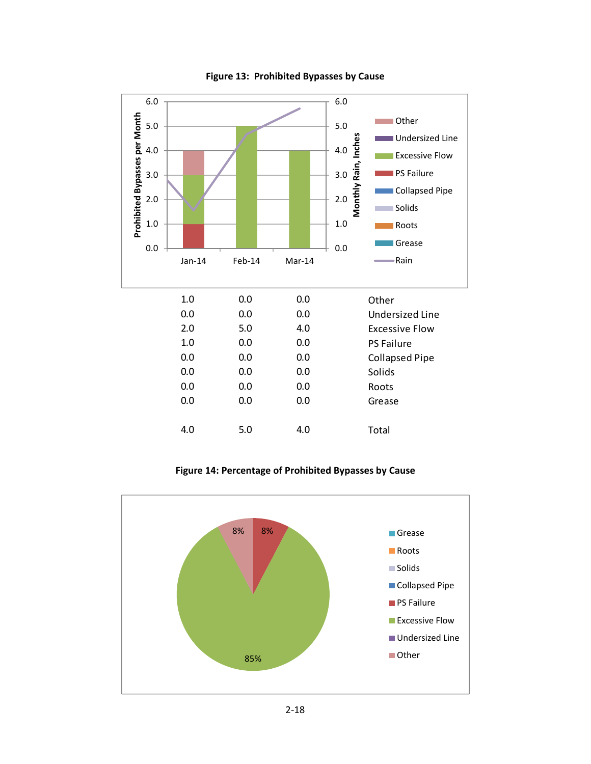

**Figure 13: Prohibited Bypasses by Cause**

**Figure 14: Percentage of Prohibited Bypasses by Cause**